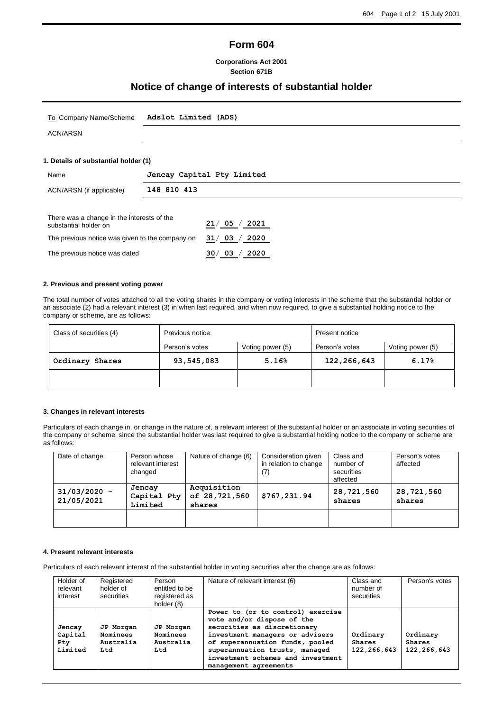# **Form 604**

### **Corporations Act 2001 Section 671B**

# **Notice of change of interests of substantial holder**

| To Company Name/Scheme                                              | Adslot Limited (ADS)       |  |
|---------------------------------------------------------------------|----------------------------|--|
| <b>ACN/ARSN</b>                                                     |                            |  |
|                                                                     |                            |  |
| 1. Details of substantial holder (1)                                |                            |  |
| Name                                                                | Jencay Capital Pty Limited |  |
|                                                                     | 148 810 413                |  |
| ACN/ARSN (if applicable)                                            |                            |  |
|                                                                     |                            |  |
| There was a change in the interests of the<br>substantial holder on | 21/05/<br>2021             |  |

#### **2. Previous and present voting power**

The previous notice was dated **30**/ **03** / **2020**

The total number of votes attached to all the voting shares in the company or voting interests in the scheme that the substantial holder or an associate (2) had a relevant interest (3) in when last required, and when now required, to give a substantial holding notice to the company or scheme, are as follows:

| Class of securities (4) | Previous notice     |                  | Present notice |                  |
|-------------------------|---------------------|------------------|----------------|------------------|
|                         | Person's votes      | Voting power (5) | Person's votes | Voting power (5) |
| Ordinary Shares         | 93,545,083<br>5.16% |                  | 122,266,643    | 6.17%            |
|                         |                     |                  |                |                  |

#### **3. Changes in relevant interests**

Particulars of each change in, or change in the nature of, a relevant interest of the substantial holder or an associate in voting securities of the company or scheme, since the substantial holder was last required to give a substantial holding notice to the company or scheme are as follows:

| Date of change               | Person whose<br>relevant interest<br>changed | Nature of change (6)                   | Consideration given<br>in relation to change<br>(7) | Class and<br>number of<br>securities<br>affected | Person's votes<br>affected |
|------------------------------|----------------------------------------------|----------------------------------------|-----------------------------------------------------|--------------------------------------------------|----------------------------|
| $31/03/2020 -$<br>21/05/2021 | Jencay<br>Capital Pty<br>Limited             | Acquisition<br>of 28,721,560<br>shares | \$767,231.94                                        | 28,721,560<br>shares                             | 28,721,560<br>shares       |
|                              |                                              |                                        |                                                     |                                                  |                            |

#### **4. Present relevant interests**

Particulars of each relevant interest of the substantial holder in voting securities after the change are as follows:

| Holder of<br>relevant<br>interest          | Registered<br>holder of<br>securities     | Person<br>entitled to be<br>registered as<br>holder (8) | Nature of relevant interest (6)                                                                                                                                                                                                                                      | Class and<br>number of<br>securities | Person's votes                      |
|--------------------------------------------|-------------------------------------------|---------------------------------------------------------|----------------------------------------------------------------------------------------------------------------------------------------------------------------------------------------------------------------------------------------------------------------------|--------------------------------------|-------------------------------------|
| Jencay<br>Capital<br><b>Pty</b><br>Limited | JP Morgan<br>Nominees<br>Australia<br>Ltd | JP Morgan<br>Nominees<br>Australia<br>Ltd               | Power to (or to control) exercise<br>vote and/or dispose of the<br>securities as discretionary<br>investment managers or advisers<br>of superannuation funds, pooled<br>superannuation trusts, managed<br>investment schemes and investment<br>management agreements | Ordinary<br>Shares<br>122,266,643    | Ordinary<br>Shares<br>122, 266, 643 |